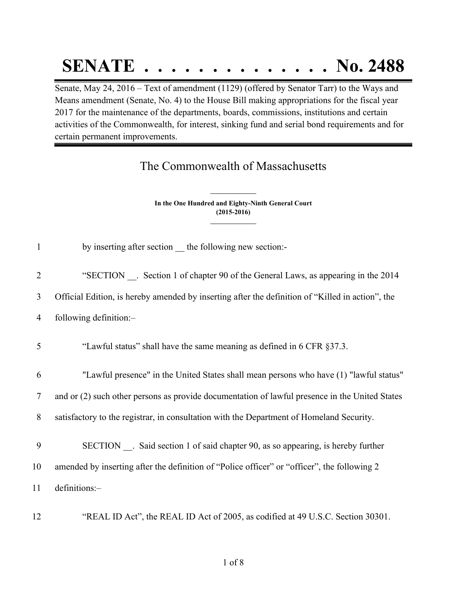## **SENATE . . . . . . . . . . . . . . No. 2488**

Senate, May 24, 2016 – Text of amendment (1129) (offered by Senator Tarr) to the Ways and Means amendment (Senate, No. 4) to the House Bill making appropriations for the fiscal year 2017 for the maintenance of the departments, boards, commissions, institutions and certain activities of the Commonwealth, for interest, sinking fund and serial bond requirements and for certain permanent improvements.

## The Commonwealth of Massachusetts

**In the One Hundred and Eighty-Ninth General Court (2015-2016) \_\_\_\_\_\_\_\_\_\_\_\_\_\_\_**

**\_\_\_\_\_\_\_\_\_\_\_\_\_\_\_**

| $\mathbf{1}$    | by inserting after section __ the following new section:-                                        |
|-----------------|--------------------------------------------------------------------------------------------------|
| $\overline{2}$  | "SECTION . Section 1 of chapter 90 of the General Laws, as appearing in the 2014                 |
| 3               | Official Edition, is hereby amended by inserting after the definition of "Killed in action", the |
| $\overline{4}$  | following definition:-                                                                           |
| 5               | "Lawful status" shall have the same meaning as defined in 6 CFR §37.3.                           |
| 6               | "Lawful presence" in the United States shall mean persons who have (1) "lawful status"           |
| $7\phantom{.0}$ | and or (2) such other persons as provide documentation of lawful presence in the United States   |
| 8               | satisfactory to the registrar, in consultation with the Department of Homeland Security.         |
| 9               | SECTION . Said section 1 of said chapter 90, as so appearing, is hereby further                  |
| 10              | amended by inserting after the definition of "Police officer" or "officer", the following 2      |
| 11              | definitions:-                                                                                    |
| 12              | "REAL ID Act", the REAL ID Act of 2005, as codified at 49 U.S.C. Section 30301.                  |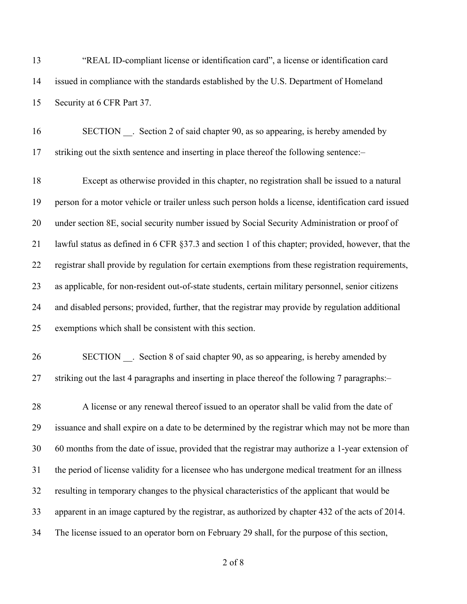"REAL ID-compliant license or identification card", a license or identification card issued in compliance with the standards established by the U.S. Department of Homeland Security at 6 CFR Part 37.

16 SECTION . Section 2 of said chapter 90, as so appearing, is hereby amended by striking out the sixth sentence and inserting in place thereof the following sentence:–

 Except as otherwise provided in this chapter, no registration shall be issued to a natural person for a motor vehicle or trailer unless such person holds a license, identification card issued under section 8E, social security number issued by Social Security Administration or proof of lawful status as defined in 6 CFR §37.3 and section 1 of this chapter; provided, however, that the registrar shall provide by regulation for certain exemptions from these registration requirements, as applicable, for non-resident out-of-state students, certain military personnel, senior citizens and disabled persons; provided, further, that the registrar may provide by regulation additional exemptions which shall be consistent with this section.

26 SECTION . Section 8 of said chapter 90, as so appearing, is hereby amended by striking out the last 4 paragraphs and inserting in place thereof the following 7 paragraphs:–

28 A license or any renewal thereof issued to an operator shall be valid from the date of issuance and shall expire on a date to be determined by the registrar which may not be more than 60 months from the date of issue, provided that the registrar may authorize a 1-year extension of the period of license validity for a licensee who has undergone medical treatment for an illness resulting in temporary changes to the physical characteristics of the applicant that would be apparent in an image captured by the registrar, as authorized by chapter 432 of the acts of 2014. The license issued to an operator born on February 29 shall, for the purpose of this section,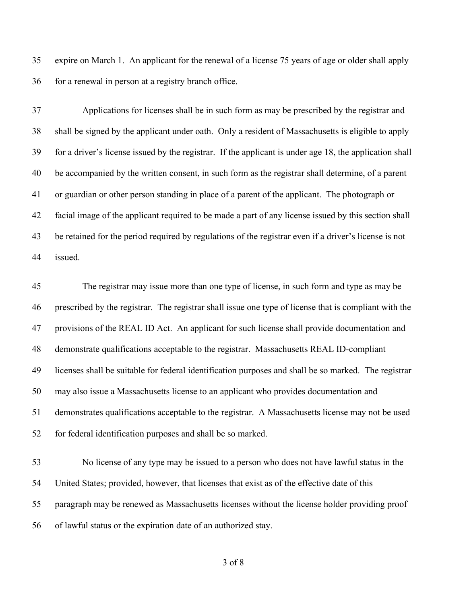expire on March 1. An applicant for the renewal of a license 75 years of age or older shall apply for a renewal in person at a registry branch office.

 Applications for licenses shall be in such form as may be prescribed by the registrar and shall be signed by the applicant under oath. Only a resident of Massachusetts is eligible to apply for a driver's license issued by the registrar. If the applicant is under age 18, the application shall be accompanied by the written consent, in such form as the registrar shall determine, of a parent or guardian or other person standing in place of a parent of the applicant. The photograph or facial image of the applicant required to be made a part of any license issued by this section shall be retained for the period required by regulations of the registrar even if a driver's license is not issued.

 The registrar may issue more than one type of license, in such form and type as may be prescribed by the registrar. The registrar shall issue one type of license that is compliant with the provisions of the REAL ID Act. An applicant for such license shall provide documentation and demonstrate qualifications acceptable to the registrar. Massachusetts REAL ID-compliant licenses shall be suitable for federal identification purposes and shall be so marked. The registrar may also issue a Massachusetts license to an applicant who provides documentation and demonstrates qualifications acceptable to the registrar. A Massachusetts license may not be used for federal identification purposes and shall be so marked.

 No license of any type may be issued to a person who does not have lawful status in the United States; provided, however, that licenses that exist as of the effective date of this paragraph may be renewed as Massachusetts licenses without the license holder providing proof of lawful status or the expiration date of an authorized stay.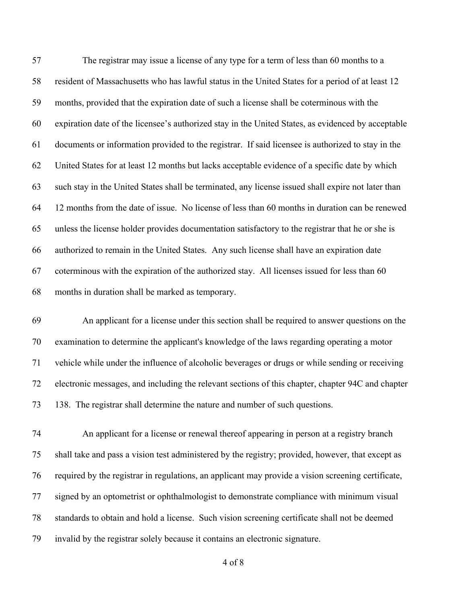The registrar may issue a license of any type for a term of less than 60 months to a resident of Massachusetts who has lawful status in the United States for a period of at least 12 months, provided that the expiration date of such a license shall be coterminous with the expiration date of the licensee's authorized stay in the United States, as evidenced by acceptable documents or information provided to the registrar. If said licensee is authorized to stay in the United States for at least 12 months but lacks acceptable evidence of a specific date by which such stay in the United States shall be terminated, any license issued shall expire not later than 12 months from the date of issue. No license of less than 60 months in duration can be renewed unless the license holder provides documentation satisfactory to the registrar that he or she is authorized to remain in the United States. Any such license shall have an expiration date coterminous with the expiration of the authorized stay. All licenses issued for less than 60 months in duration shall be marked as temporary.

 An applicant for a license under this section shall be required to answer questions on the examination to determine the applicant's knowledge of the laws regarding operating a motor vehicle while under the influence of alcoholic beverages or drugs or while sending or receiving electronic messages, and including the relevant sections of this chapter, chapter 94C and chapter 138. The registrar shall determine the nature and number of such questions.

 An applicant for a license or renewal thereof appearing in person at a registry branch shall take and pass a vision test administered by the registry; provided, however, that except as required by the registrar in regulations, an applicant may provide a vision screening certificate, signed by an optometrist or ophthalmologist to demonstrate compliance with minimum visual standards to obtain and hold a license. Such vision screening certificate shall not be deemed invalid by the registrar solely because it contains an electronic signature.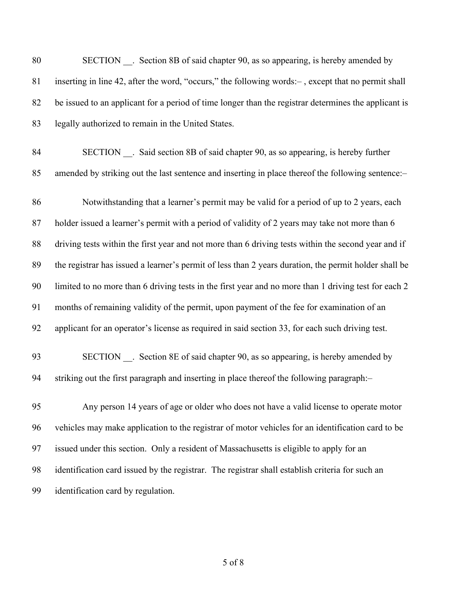| 80 | SECTION . Section 8B of said chapter 90, as so appearing, is hereby amended by                        |
|----|-------------------------------------------------------------------------------------------------------|
| 81 | inserting in line 42, after the word, "occurs," the following words:-, except that no permit shall    |
| 82 | be issued to an applicant for a period of time longer than the registrar determines the applicant is  |
| 83 | legally authorized to remain in the United States.                                                    |
| 84 | SECTION __. Said section 8B of said chapter 90, as so appearing, is hereby further                    |
| 85 | amended by striking out the last sentence and inserting in place thereof the following sentence:-     |
| 86 | Notwithstanding that a learner's permit may be valid for a period of up to 2 years, each              |
| 87 | holder issued a learner's permit with a period of validity of 2 years may take not more than 6        |
| 88 | driving tests within the first year and not more than 6 driving tests within the second year and if   |
| 89 | the registrar has issued a learner's permit of less than 2 years duration, the permit holder shall be |
| 90 | limited to no more than 6 driving tests in the first year and no more than 1 driving test for each 2  |
| 91 | months of remaining validity of the permit, upon payment of the fee for examination of an             |
| 92 | applicant for an operator's license as required in said section 33, for each such driving test.       |
| 93 | SECTION __. Section 8E of said chapter 90, as so appearing, is hereby amended by                      |
| 94 | striking out the first paragraph and inserting in place thereof the following paragraph:-             |
| 95 | Any person 14 years of age or older who does not have a valid license to operate motor                |
| 96 | vehicles may make application to the registrar of motor vehicles for an identification card to be     |
| 97 | issued under this section. Only a resident of Massachusetts is eligible to apply for an               |
| 98 | identification card issued by the registrar. The registrar shall establish criteria for such an       |
| 99 | identification card by regulation.                                                                    |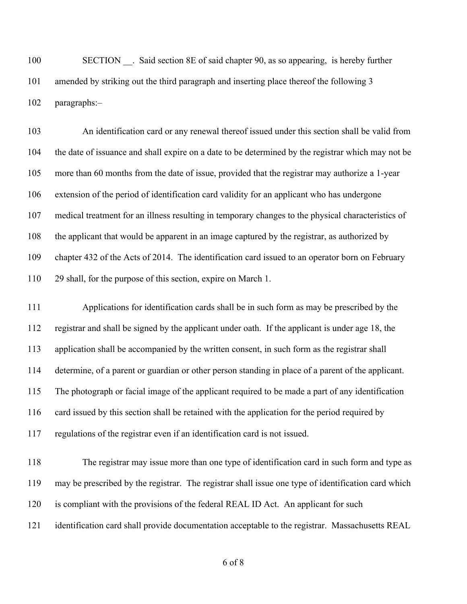100 SECTION . Said section 8E of said chapter 90, as so appearing, is hereby further amended by striking out the third paragraph and inserting place thereof the following 3 paragraphs:–

 An identification card or any renewal thereof issued under this section shall be valid from the date of issuance and shall expire on a date to be determined by the registrar which may not be more than 60 months from the date of issue, provided that the registrar may authorize a 1-year extension of the period of identification card validity for an applicant who has undergone medical treatment for an illness resulting in temporary changes to the physical characteristics of the applicant that would be apparent in an image captured by the registrar, as authorized by chapter 432 of the Acts of 2014. The identification card issued to an operator born on February 29 shall, for the purpose of this section, expire on March 1.

 Applications for identification cards shall be in such form as may be prescribed by the registrar and shall be signed by the applicant under oath. If the applicant is under age 18, the application shall be accompanied by the written consent, in such form as the registrar shall determine, of a parent or guardian or other person standing in place of a parent of the applicant. The photograph or facial image of the applicant required to be made a part of any identification card issued by this section shall be retained with the application for the period required by regulations of the registrar even if an identification card is not issued.

 The registrar may issue more than one type of identification card in such form and type as may be prescribed by the registrar. The registrar shall issue one type of identification card which is compliant with the provisions of the federal REAL ID Act. An applicant for such identification card shall provide documentation acceptable to the registrar. Massachusetts REAL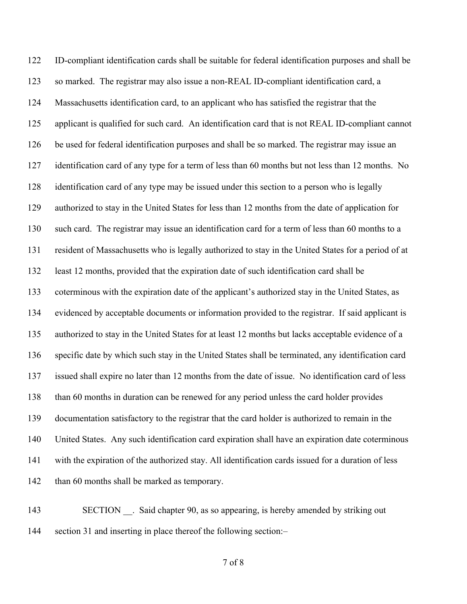ID-compliant identification cards shall be suitable for federal identification purposes and shall be so marked. The registrar may also issue a non-REAL ID-compliant identification card, a Massachusetts identification card, to an applicant who has satisfied the registrar that the applicant is qualified for such card. An identification card that is not REAL ID-compliant cannot be used for federal identification purposes and shall be so marked. The registrar may issue an identification card of any type for a term of less than 60 months but not less than 12 months. No identification card of any type may be issued under this section to a person who is legally authorized to stay in the United States for less than 12 months from the date of application for such card. The registrar may issue an identification card for a term of less than 60 months to a resident of Massachusetts who is legally authorized to stay in the United States for a period of at least 12 months, provided that the expiration date of such identification card shall be coterminous with the expiration date of the applicant's authorized stay in the United States, as evidenced by acceptable documents or information provided to the registrar. If said applicant is authorized to stay in the United States for at least 12 months but lacks acceptable evidence of a specific date by which such stay in the United States shall be terminated, any identification card issued shall expire no later than 12 months from the date of issue. No identification card of less than 60 months in duration can be renewed for any period unless the card holder provides documentation satisfactory to the registrar that the card holder is authorized to remain in the United States. Any such identification card expiration shall have an expiration date coterminous with the expiration of the authorized stay. All identification cards issued for a duration of less 142 than 60 months shall be marked as temporary.

143 SECTION . Said chapter 90, as so appearing, is hereby amended by striking out section 31 and inserting in place thereof the following section:–